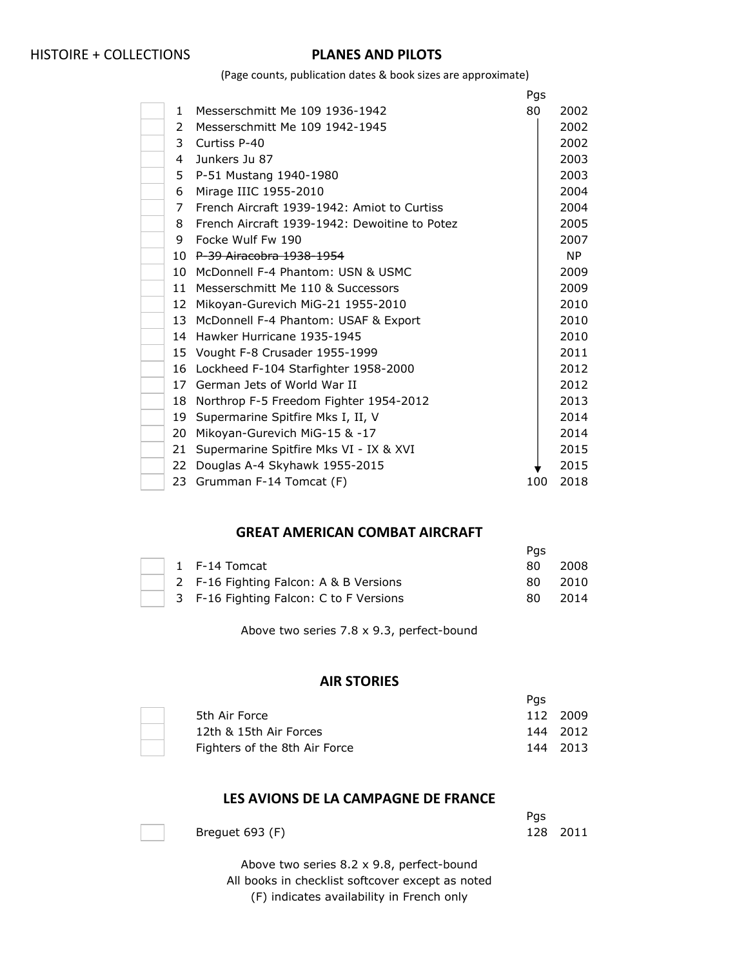(Page counts, publication dates & book sizes are approximate)

|    |                                               | Pgs |      |
|----|-----------------------------------------------|-----|------|
| 1  | Messerschmitt Me 109 1936-1942                | 80  | 2002 |
| 2  | Messerschmitt Me 109 1942-1945                |     | 2002 |
| 3  | Curtiss P-40                                  |     | 2002 |
| 4  | Junkers Ju 87                                 |     | 2003 |
| 5  | P-51 Mustang 1940-1980                        |     | 2003 |
| 6  | Mirage IIIC 1955-2010                         |     | 2004 |
| 7  | French Aircraft 1939-1942: Amiot to Curtiss   |     | 2004 |
| 8  | French Aircraft 1939-1942: Dewoitine to Potez |     | 2005 |
| 9  | Focke Wulf Fw 190                             |     | 2007 |
|    | 10 P-39 Airacobra 1938-1954                   |     | NP.  |
| 10 | McDonnell F-4 Phantom: USN & USMC             |     | 2009 |
| 11 | Messerschmitt Me 110 & Successors             |     | 2009 |
| 12 | Mikoyan-Gurevich MiG-21 1955-2010             |     | 2010 |
| 13 | McDonnell F-4 Phantom: USAF & Export          |     | 2010 |
| 14 | Hawker Hurricane 1935-1945                    |     | 2010 |
|    | 15 Vought F-8 Crusader 1955-1999              |     | 2011 |
| 16 | Lockheed F-104 Starfighter 1958-2000          |     | 2012 |
| 17 | German Jets of World War II                   |     | 2012 |
| 18 | Northrop F-5 Freedom Fighter 1954-2012        |     | 2013 |
| 19 | Supermarine Spitfire Mks I, II, V             |     | 2014 |
| 20 | Mikoyan-Gurevich MiG-15 & -17                 |     | 2014 |
| 21 | Supermarine Spitfire Mks VI - IX & XVI        |     | 2015 |
| 22 | Douglas A-4 Skyhawk 1955-2015                 |     | 2015 |
| 23 | Grumman F-14 Tomcat (F)                       | 100 | 2018 |

#### **GREAT AMERICAN COMBAT AIRCRAFT**

|  |                                         | Pas |      |
|--|-----------------------------------------|-----|------|
|  | 1 F-14 Tomcat                           | 80  | 2008 |
|  | 2 F-16 Fighting Falcon: A & B Versions  | 80  | 2010 |
|  | 3 F-16 Fighting Falcon: C to F Versions | 80  | 2014 |

Above two series 7.8 x 9.3, perfect-bound

#### **AIR STORIES**

|                               | Pas |          |
|-------------------------------|-----|----------|
| 5th Air Force                 |     | 112 2009 |
| 12th & 15th Air Forces        |     | 144 2012 |
| Fighters of the 8th Air Force |     | 144 2013 |

#### **LES AVIONS DE LA CAMPAGNE DE FRANCE**

|                 | Pgs      |  |
|-----------------|----------|--|
| Breguet 693 (F) | 128 2011 |  |

Above two series 8.2 x 9.8, perfect-bound All books in checklist softcover except as noted (F) indicates availability in French only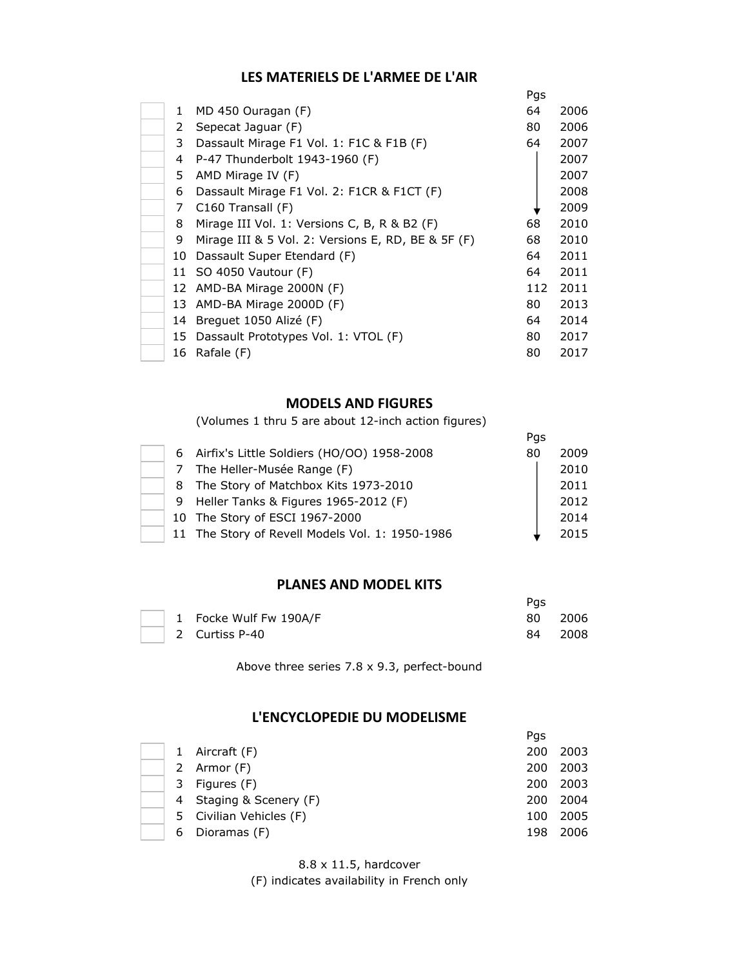# **LES MATERIELS DE L'ARMEE DE L'AIR**

|    |                                                      | Pgs |      |
|----|------------------------------------------------------|-----|------|
| 1. | MD 450 Ouragan (F)                                   | 64  | 2006 |
| 2  | Sepecat Jaguar (F)                                   | 80  | 2006 |
| 3  | Dassault Mirage F1 Vol. 1: F1C & F1B (F)             | 64  | 2007 |
| 4  | P-47 Thunderbolt 1943-1960 (F)                       |     | 2007 |
| 5. | AMD Mirage IV (F)                                    |     | 2007 |
| 6  | Dassault Mirage F1 Vol. 2: F1CR & F1CT (F)           |     | 2008 |
| 7  | $C160$ Transall $(F)$                                |     | 2009 |
| 8  | Mirage III Vol. 1: Versions C, B, R & B2 (F)         | 68  | 2010 |
| 9  | Mirage III & 5 Vol. 2: Versions E, RD, BE & 5F $(F)$ | 68  | 2010 |
| 10 | Dassault Super Etendard (F)                          | 64  | 2011 |
|    | 11 SO 4050 Vautour (F)                               | 64  | 2011 |
|    | 12 AMD-BA Mirage 2000N (F)                           | 112 | 2011 |
| 13 | AMD-BA Mirage 2000D (F)                              | 80  | 2013 |
| 14 | Brequet 1050 Alizé (F)                               | 64  | 2014 |
| 15 | Dassault Prototypes Vol. 1: VTOL (F)                 | 80  | 2017 |
| 16 | Rafale (F)                                           | 80  | 2017 |

#### **MODELS AND FIGURES**

(Volumes 1 thru 5 are about 12-inch action figures)

|  |                                                 | Pgs |      |
|--|-------------------------------------------------|-----|------|
|  | 6 Airfix's Little Soldiers (HO/OO) 1958-2008    | 80  | 2009 |
|  | 7 The Heller-Musée Range (F)                    |     | 2010 |
|  | 8 The Story of Matchbox Kits 1973-2010          |     | 2011 |
|  | 9 Heller Tanks & Figures 1965-2012 (F)          |     | 2012 |
|  | 10 The Story of ESCI 1967-2000                  |     | 2014 |
|  | 11 The Story of Revell Models Vol. 1: 1950-1986 |     | 2015 |

## **PLANES AND MODEL KITS**

|  |                        | Pas  |        |
|--|------------------------|------|--------|
|  | 1 Focke Wulf Fw 190A/F | 80 — | - 2006 |
|  | 2 Curtiss P-40         | 84.  | 2008   |

Above three series 7.8 x 9.3, perfect-bound

## **L'ENCYCLOPEDIE DU MODELISME**

|   |                         | Pgs |      |
|---|-------------------------|-----|------|
| 1 | Aircraft (F)            | 200 | 2003 |
|   | 2 Armor (F)             | 200 | 2003 |
| 3 | Figures (F)             | 200 | 2003 |
|   | 4 Staging & Scenery (F) | 200 | 2004 |
|   | 5 Civilian Vehicles (F) | 100 | 2005 |
| 6 | Dioramas (F)            | 198 | 2006 |

8.8 x 11.5, hardcover

(F) indicates availability in French only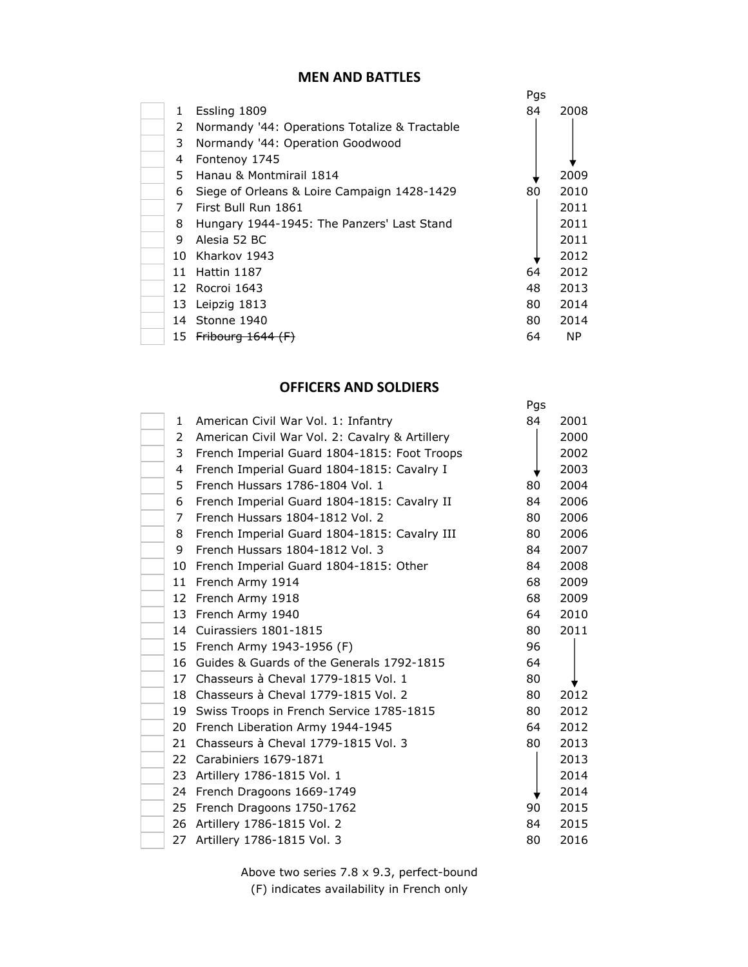#### **MEN AND BATTLES**

|    |                                               | Pgs |      |
|----|-----------------------------------------------|-----|------|
| 1. | Essling 1809                                  | 84  | 2008 |
| 2  | Normandy '44: Operations Totalize & Tractable |     |      |
| 3  | Normandy '44: Operation Goodwood              |     |      |
| 4  | Fontenoy 1745                                 |     |      |
| 5. | Hanau & Montmirail 1814                       |     | 2009 |
| 6  | Siege of Orleans & Loire Campaign 1428-1429   | 80  | 2010 |
| 7  | First Bull Run 1861                           |     | 2011 |
| 8  | Hungary 1944-1945: The Panzers' Last Stand    |     | 2011 |
| 9  | Alesia 52 BC                                  |     | 2011 |
|    | 10 Kharkov 1943                               |     | 2012 |
| 11 | Hattin 1187                                   | 64  | 2012 |
|    | 12 Rocroi 1643                                | 48  | 2013 |
| 13 | Leipzig 1813                                  | 80  | 2014 |
|    | 14 Stonne 1940                                | 80  | 2014 |
| 15 | Fribourg $1644$ (F)                           | 64  | NP.  |

# **OFFICERS AND SOLDIERS**

Pgs

| $\mathbf{1}$ | American Civil War Vol. 1: Infantry            | 84 | 2001 |
|--------------|------------------------------------------------|----|------|
| 2            | American Civil War Vol. 2: Cavalry & Artillery |    | 2000 |
| 3            | French Imperial Guard 1804-1815: Foot Troops   |    | 2002 |
| 4            | French Imperial Guard 1804-1815: Cavalry I     |    | 2003 |
| 5            | French Hussars 1786-1804 Vol. 1                | 80 | 2004 |
| 6            | French Imperial Guard 1804-1815: Cavalry II    | 84 | 2006 |
| 7            | French Hussars 1804-1812 Vol. 2                | 80 | 2006 |
| 8            | French Imperial Guard 1804-1815: Cavalry III   | 80 | 2006 |
| 9            | French Hussars 1804-1812 Vol. 3                | 84 | 2007 |
| 10           | French Imperial Guard 1804-1815: Other         | 84 | 2008 |
| 11           | French Army 1914                               | 68 | 2009 |
| 12           | French Army 1918                               | 68 | 2009 |
| 13           | French Army 1940                               | 64 | 2010 |
|              | 14 Cuirassiers 1801-1815                       | 80 | 2011 |
| 15           | French Army 1943-1956 (F)                      | 96 |      |
| 16           | Guides & Guards of the Generals 1792-1815      | 64 |      |
| 17           | Chasseurs à Cheval 1779-1815 Vol. 1            | 80 |      |
|              | 18 Chasseurs à Cheval 1779-1815 Vol. 2         | 80 | 2012 |
| 19           | Swiss Troops in French Service 1785-1815       | 80 | 2012 |
| 20           | French Liberation Army 1944-1945               | 64 | 2012 |
| 21           | Chasseurs à Cheval 1779-1815 Vol. 3            | 80 | 2013 |
|              | 22 Carabiniers 1679-1871                       |    | 2013 |
|              | 23 Artillery 1786-1815 Vol. 1                  |    | 2014 |
|              | 24 French Dragoons 1669-1749                   |    | 2014 |
| 25           | French Dragoons 1750-1762                      | 90 | 2015 |
| 26           | Artillery 1786-1815 Vol. 2                     | 84 | 2015 |
| 27           | Artillery 1786-1815 Vol. 3                     | 80 | 2016 |

Above two series 7.8 x 9.3, perfect-bound (F) indicates availability in French only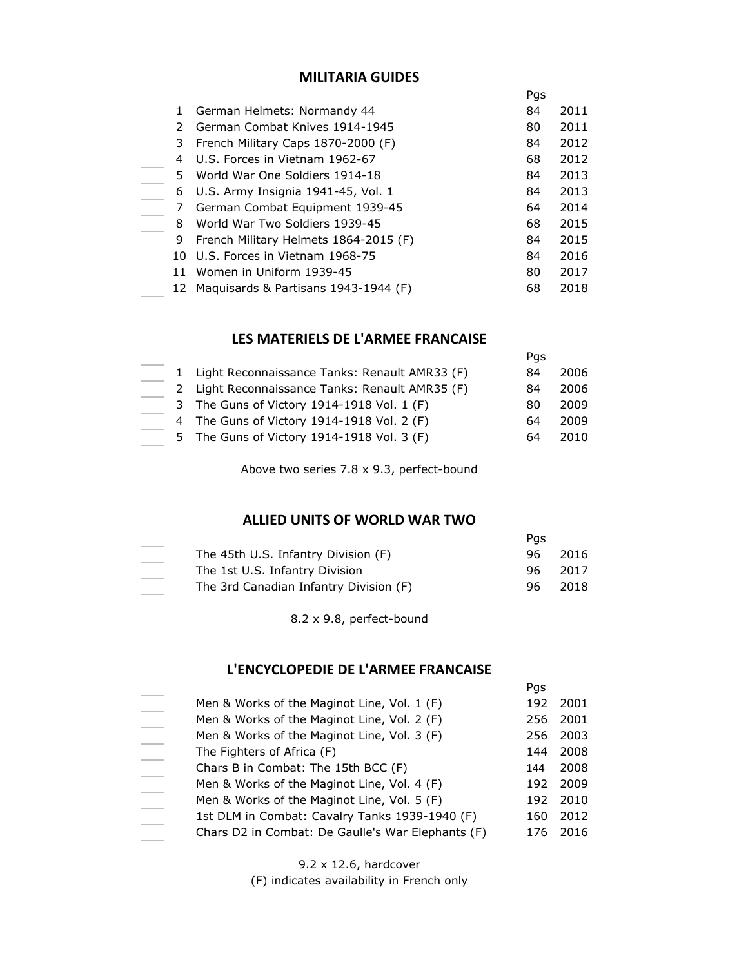## **MILITARIA GUIDES**

|     |                                       | Pgs |      |
|-----|---------------------------------------|-----|------|
| 1   | German Helmets: Normandy 44           | 84  | 2011 |
| 2   | German Combat Knives 1914-1945        | 80  | 2011 |
| 3   | French Military Caps 1870-2000 (F)    | 84  | 2012 |
| 4   | U.S. Forces in Vietnam 1962-67        | 68  | 2012 |
| 5.  | World War One Soldiers 1914-18        | 84  | 2013 |
| 6   | U.S. Army Insignia 1941-45, Vol. 1    | 84  | 2013 |
| 7   | German Combat Equipment 1939-45       | 64  | 2014 |
| 8   | World War Two Soldiers 1939-45        | 68  | 2015 |
| 9   | French Military Helmets 1864-2015 (F) | 84  | 2015 |
| 10. | U.S. Forces in Vietnam 1968-75        | 84  | 2016 |
| 11  | Women in Uniform 1939-45              | 80  | 2017 |
| 12  | Maquisards & Partisans 1943-1944 (F)  | 68  | 2018 |

#### **LES MATERIELS DE L'ARMEE FRANCAISE**

|  |                                                 | Pgs |      |
|--|-------------------------------------------------|-----|------|
|  | 1 Light Reconnaissance Tanks: Renault AMR33 (F) | 84  | 2006 |
|  | 2 Light Reconnaissance Tanks: Renault AMR35 (F) | 84  | 2006 |
|  | 3 The Guns of Victory 1914-1918 Vol. 1 (F)      | 80. | 2009 |
|  | 4 The Guns of Victory 1914-1918 Vol. 2 (F)      | 64  | 2009 |
|  | 5 The Guns of Victory 1914-1918 Vol. 3 (F)      | 64  | 2010 |

Above two series 7.8 x 9.3, perfect-bound

## **ALLIED UNITS OF WORLD WAR TWO**

|                                        | Pas |         |
|----------------------------------------|-----|---------|
| The 45th U.S. Infantry Division (F)    |     | 96 2016 |
| The 1st U.S. Infantry Division         |     | 96 2017 |
| The 3rd Canadian Infantry Division (F) | 96. | 2018    |

8.2 x 9.8, perfect-bound

## **L'ENCYCLOPEDIE DE L'ARMEE FRANCAISE**

|                                                   | Pgs |      |
|---------------------------------------------------|-----|------|
| Men & Works of the Maginot Line, Vol. 1 (F)       | 192 | 2001 |
| Men & Works of the Maginot Line, Vol. 2 (F)       | 256 | 2001 |
| Men & Works of the Maginot Line, Vol. 3 (F)       | 256 | 2003 |
| The Fighters of Africa (F)                        | 144 | 2008 |
| Chars B in Combat: The 15th BCC (F)               | 144 | 2008 |
| Men & Works of the Maginot Line, Vol. 4 (F)       | 192 | 2009 |
| Men & Works of the Maginot Line, Vol. 5 (F)       | 192 | 2010 |
| 1st DLM in Combat: Cavalry Tanks 1939-1940 (F)    | 160 | 2012 |
| Chars D2 in Combat: De Gaulle's War Elephants (F) | 176 | 2016 |

9.2 x 12.6, hardcover (F) indicates availability in French only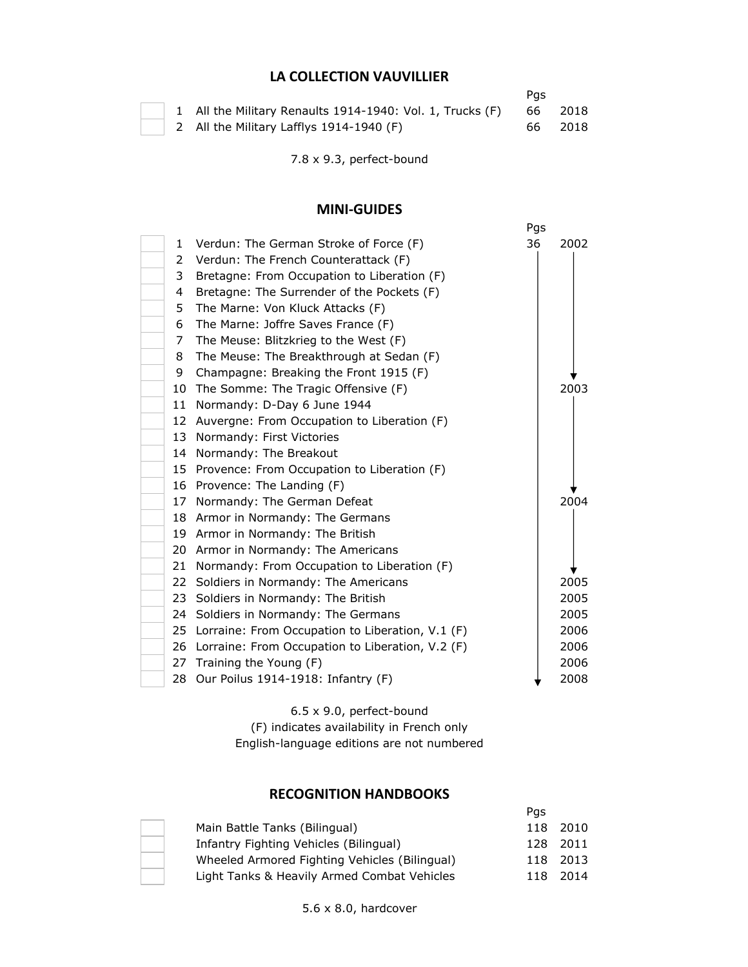# **LA COLLECTION VAUVILLIER**

|  |                                                           | Pas |         |
|--|-----------------------------------------------------------|-----|---------|
|  | 1 All the Military Renaults 1914-1940: Vol. 1, Trucks (F) |     | 66 2018 |
|  | 2 All the Military Lafflys 1914-1940 (F)                  |     | 66 2018 |

7.8 x 9.3, perfect-bound

## **MINI-GUIDES**

|    |                                                     | Pgs |      |
|----|-----------------------------------------------------|-----|------|
| 1  | Verdun: The German Stroke of Force (F)              | 36  | 2002 |
| 2  | Verdun: The French Counterattack (F)                |     |      |
| 3  | Bretagne: From Occupation to Liberation (F)         |     |      |
| 4  | Bretagne: The Surrender of the Pockets (F)          |     |      |
| 5. | The Marne: Von Kluck Attacks (F)                    |     |      |
| 6  | The Marne: Joffre Saves France (F)                  |     |      |
| 7  | The Meuse: Blitzkrieg to the West (F)               |     |      |
| 8  | The Meuse: The Breakthrough at Sedan (F)            |     |      |
| 9  | Champagne: Breaking the Front 1915 (F)              |     |      |
|    | 10 The Somme: The Tragic Offensive (F)              |     | 2003 |
| 11 | Normandy: D-Day 6 June 1944                         |     |      |
|    | 12 Auvergne: From Occupation to Liberation (F)      |     |      |
|    | 13 Normandy: First Victories                        |     |      |
| 14 | Normandy: The Breakout                              |     |      |
|    | 15 Provence: From Occupation to Liberation (F)      |     |      |
|    | 16 Provence: The Landing (F)                        |     |      |
|    | 17 Normandy: The German Defeat                      |     | 2004 |
|    | 18 Armor in Normandy: The Germans                   |     |      |
|    | 19 Armor in Normandy: The British                   |     |      |
|    | 20 Armor in Normandy: The Americans                 |     |      |
| 21 | Normandy: From Occupation to Liberation (F)         |     |      |
|    | 22 Soldiers in Normandy: The Americans              |     | 2005 |
| 23 | Soldiers in Normandy: The British                   |     | 2005 |
|    | 24 Soldiers in Normandy: The Germans                |     | 2005 |
|    | 25 Lorraine: From Occupation to Liberation, V.1 (F) |     | 2006 |
|    | 26 Lorraine: From Occupation to Liberation, V.2 (F) |     | 2006 |
|    | 27 Training the Young (F)                           |     | 2006 |
|    | 28 Our Poilus 1914-1918: Infantry (F)               |     | 2008 |

6.5 x 9.0, perfect-bound

(F) indicates availability in French only English-language editions are not numbered

# **RECOGNITION HANDBOOKS**

|                                               | Pas |          |
|-----------------------------------------------|-----|----------|
| Main Battle Tanks (Bilingual)                 |     | 118 2010 |
| Infantry Fighting Vehicles (Bilingual)        |     | 128 2011 |
| Wheeled Armored Fighting Vehicles (Bilingual) |     | 118 2013 |
| Light Tanks & Heavily Armed Combat Vehicles   | 118 | 2014     |

5.6 x 8.0, hardcover